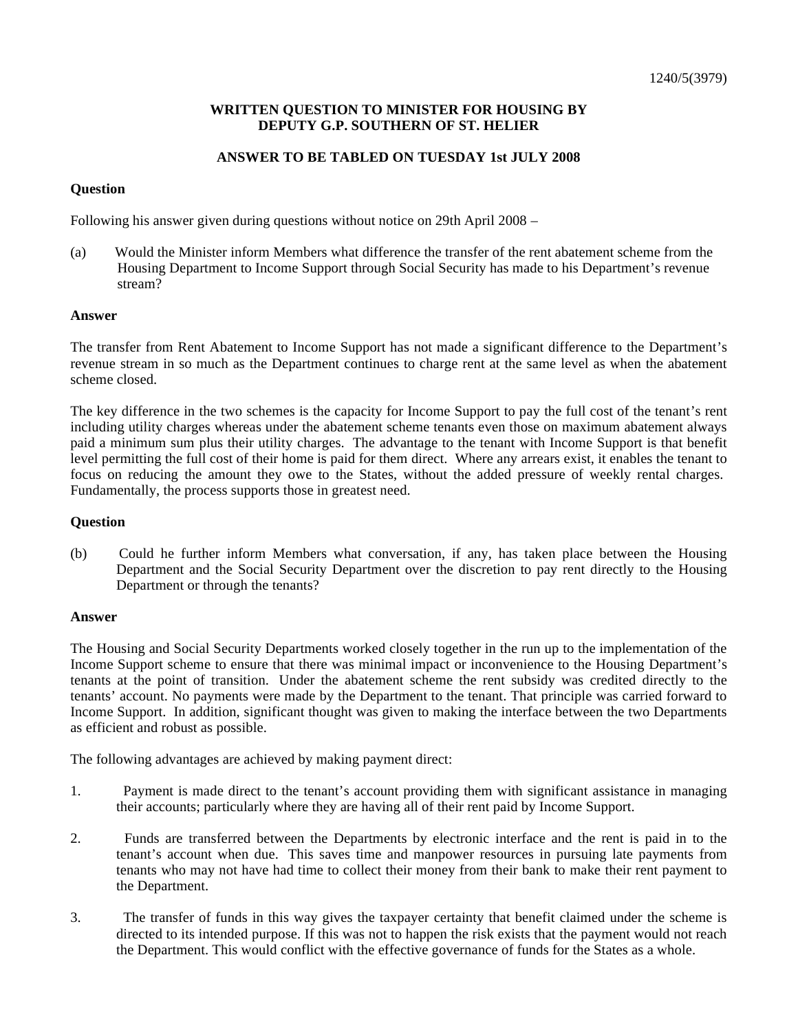# **WRITTEN QUESTION TO MINISTER FOR HOUSING BY DEPUTY G.P. SOUTHERN OF ST. HELIER**

# **ANSWER TO BE TABLED ON TUESDAY 1st JULY 2008**

# **Question**

Following his answer given during questions without notice on 29th April 2008 –

(a) Would the Minister inform Members what difference the transfer of the rent abatement scheme from the Housing Department to Income Support through Social Security has made to his Department's revenue stream?

## **Answer**

The transfer from Rent Abatement to Income Support has not made a significant difference to the Department's revenue stream in so much as the Department continues to charge rent at the same level as when the abatement scheme closed.

The key difference in the two schemes is the capacity for Income Support to pay the full cost of the tenant's rent including utility charges whereas under the abatement scheme tenants even those on maximum abatement always paid a minimum sum plus their utility charges. The advantage to the tenant with Income Support is that benefit level permitting the full cost of their home is paid for them direct. Where any arrears exist, it enables the tenant to focus on reducing the amount they owe to the States, without the added pressure of weekly rental charges. Fundamentally, the process supports those in greatest need.

### **Question**

(b) Could he further inform Members what conversation, if any, has taken place between the Housing Department and the Social Security Department over the discretion to pay rent directly to the Housing Department or through the tenants?

### **Answer**

The Housing and Social Security Departments worked closely together in the run up to the implementation of the Income Support scheme to ensure that there was minimal impact or inconvenience to the Housing Department's tenants at the point of transition. Under the abatement scheme the rent subsidy was credited directly to the tenants' account. No payments were made by the Department to the tenant. That principle was carried forward to Income Support. In addition, significant thought was given to making the interface between the two Departments as efficient and robust as possible.

The following advantages are achieved by making payment direct:

- 1. Payment is made direct to the tenant's account providing them with significant assistance in managing their accounts; particularly where they are having all of their rent paid by Income Support.
- 2. Funds are transferred between the Departments by electronic interface and the rent is paid in to the tenant's account when due. This saves time and manpower resources in pursuing late payments from tenants who may not have had time to collect their money from their bank to make their rent payment to the Department.
- 3. The transfer of funds in this way gives the taxpayer certainty that benefit claimed under the scheme is directed to its intended purpose. If this was not to happen the risk exists that the payment would not reach the Department. This would conflict with the effective governance of funds for the States as a whole.